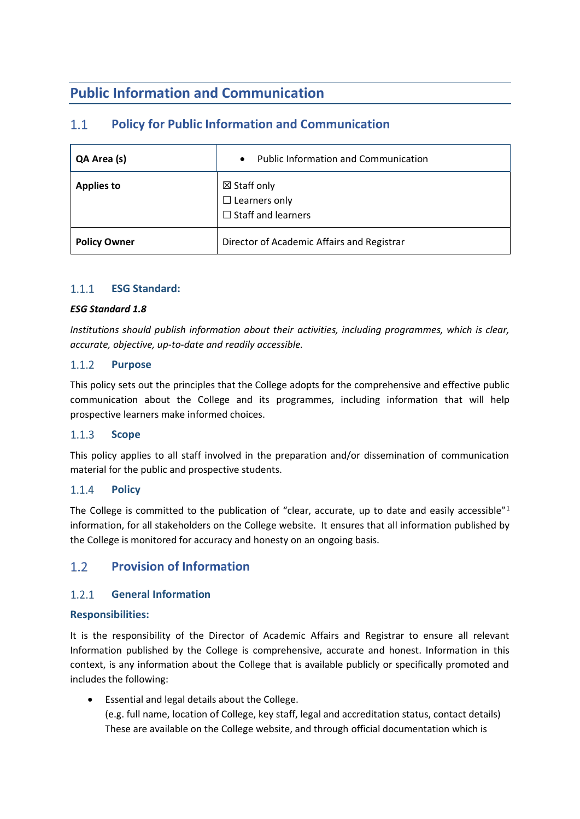# **Public Information and Communication**

# $1.1$ **Policy for Public Information and Communication**

| QA Area (s)         | <b>Public Information and Communication</b><br>$\bullet$                    |
|---------------------|-----------------------------------------------------------------------------|
| <b>Applies to</b>   | $\boxtimes$ Staff only<br>$\Box$ Learners only<br>$\Box$ Staff and learners |
| <b>Policy Owner</b> | Director of Academic Affairs and Registrar                                  |

# $1.1.1$ **ESG Standard:**

# *ESG Standard 1.8*

*Institutions should publish information about their activities, including programmes, which is clear, accurate, objective, up-to-date and readily accessible.*

### $1.1.2$ **Purpose**

This policy sets out the principles that the College adopts for the comprehensive and effective public communication about the College and its programmes, including information that will help prospective learners make informed choices.

### $1.1.3$ **Scope**

This policy applies to all staff involved in the preparation and/or dissemination of communication material for the public and prospective students.

### $1.1.4$ **Policy**

The College is committed to the publication of "clear, accurate, up to date and easily accessible"<sup>1</sup> information, for all stakeholders on the College website. It ensures that all information published by the College is monitored for accuracy and honesty on an ongoing basis.

# $1.2$ **Provision of Information**

### $1.2.1$ **General Information**

# **Responsibilities:**

It is the responsibility of the Director of Academic Affairs and Registrar to ensure all relevant Information published by the College is comprehensive, accurate and honest. Information in this context, is any information about the College that is available publicly or specifically promoted and includes the following:

• Essential and legal details about the College. (e.g. full name, location of College, key staff, legal and accreditation status, contact details) These are available on the College website, and through official documentation which is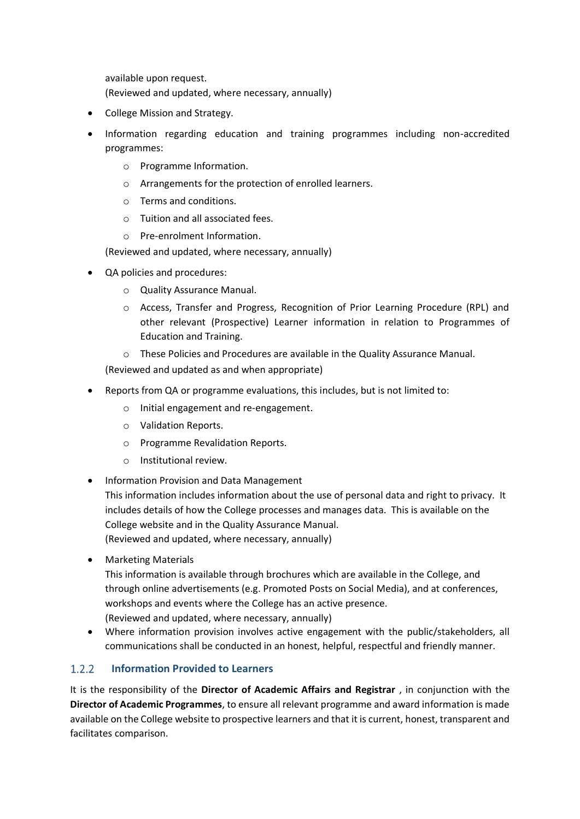available upon request.

(Reviewed and updated, where necessary, annually)

- College Mission and Strategy.
- Information regarding education and training programmes including non-accredited programmes:
	- o Programme Information.
	- o Arrangements for the protection of enrolled learners.
	- o Terms and conditions.
	- o Tuition and all associated fees.
	- o Pre-enrolment Information.

(Reviewed and updated, where necessary, annually)

- QA policies and procedures:
	- o Quality Assurance Manual.
	- o Access, Transfer and Progress, Recognition of Prior Learning Procedure (RPL) and other relevant (Prospective) Learner information in relation to Programmes of Education and Training.
	- $\circ$  These Policies and Procedures are available in the Quality Assurance Manual.

(Reviewed and updated as and when appropriate)

- Reports from QA or programme evaluations, this includes, but is not limited to:
	- o Initial engagement and re-engagement.
	- o Validation Reports.
	- o Programme Revalidation Reports.
	- o Institutional review.
- Information Provision and Data Management

This information includes information about the use of personal data and right to privacy. It includes details of how the College processes and manages data. This is available on the College website and in the Quality Assurance Manual. (Reviewed and updated, where necessary, annually)

• Marketing Materials

This information is available through brochures which are available in the College, and through online advertisements (e.g. Promoted Posts on Social Media), and at conferences, workshops and events where the College has an active presence.

(Reviewed and updated, where necessary, annually)

• Where information provision involves active engagement with the public/stakeholders, all communications shall be conducted in an honest, helpful, respectful and friendly manner.

# $1.2.2$ **Information Provided to Learners**

It is the responsibility of the **Director of Academic Affairs and Registrar** , in conjunction with the **Director of Academic Programmes**, to ensure all relevant programme and award information is made available on the College website to prospective learners and that it is current, honest, transparent and facilitates comparison.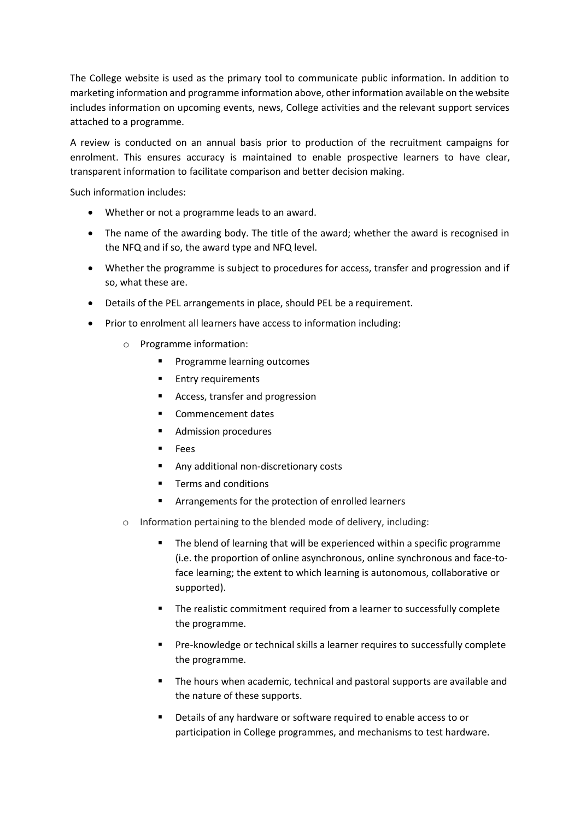The College website is used as the primary tool to communicate public information. In addition to marketing information and programme information above, other information available on the website includes information on upcoming events, news, College activities and the relevant support services attached to a programme.

A review is conducted on an annual basis prior to production of the recruitment campaigns for enrolment. This ensures accuracy is maintained to enable prospective learners to have clear, transparent information to facilitate comparison and better decision making.

Such information includes:

- Whether or not a programme leads to an award.
- The name of the awarding body. The title of the award; whether the award is recognised in the NFQ and if so, the award type and NFQ level.
- Whether the programme is subject to procedures for access, transfer and progression and if so, what these are.
- Details of the PEL arrangements in place, should PEL be a requirement.
- Prior to enrolment all learners have access to information including:
	- o Programme information:
		- Programme learning outcomes
		- Entry requirements
		- Access, transfer and progression
		- Commencement dates
		- Admission procedures
		- **Fees**
		- Any additional non-discretionary costs
		- Terms and conditions
		- Arrangements for the protection of enrolled learners
	- o Information pertaining to the blended mode of delivery, including:
		- The blend of learning that will be experienced within a specific programme (i.e. the proportion of online asynchronous, online synchronous and face-toface learning; the extent to which learning is autonomous, collaborative or supported).
		- The realistic commitment required from a learner to successfully complete the programme.
		- Pre-knowledge or technical skills a learner requires to successfully complete the programme.
		- The hours when academic, technical and pastoral supports are available and the nature of these supports.
		- Details of any hardware or software required to enable access to or participation in College programmes, and mechanisms to test hardware.